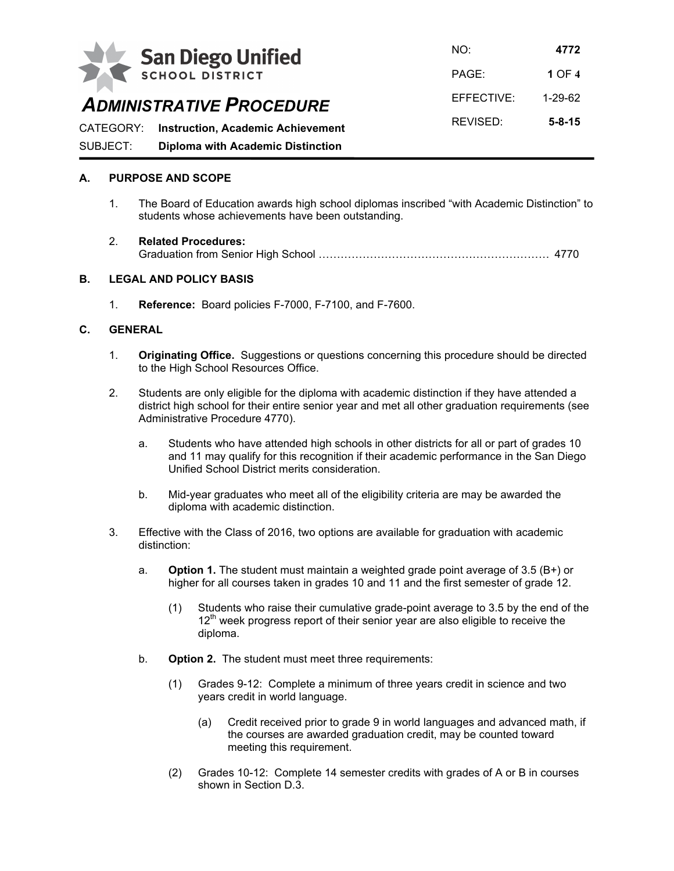

NO: **4772** PAGE: **1** OF **4** EFFECTIVE: 1-29-62

# *ADMINISTRATIVE PROCEDURE*

REVISED: **5-8-15** CATEGORY: **Instruction, Academic Achievement** SUBJECT: **Diploma with Academic Distinction**

## **A. PURPOSE AND SCOPE**

- 1. The Board of Education awards high school diplomas inscribed "with Academic Distinction" to students whose achievements have been outstanding.
- 2. **Related Procedures:** Graduation from Senior High School ……………………………………………………… 4770

### **B. LEGAL AND POLICY BASIS**

1. **Reference:** Board policies F-7000, F-7100, and F-7600.

### **C. GENERAL**

- 1. **Originating Office.** Suggestions or questions concerning this procedure should be directed to the High School Resources Office.
- 2. Students are only eligible for the diploma with academic distinction if they have attended a district high school for their entire senior year and met all other graduation requirements (see Administrative Procedure 4770).
	- a. Students who have attended high schools in other districts for all or part of grades 10 and 11 may qualify for this recognition if their academic performance in the San Diego Unified School District merits consideration.
	- b. Mid-year graduates who meet all of the eligibility criteria are may be awarded the diploma with academic distinction.
- 3. Effective with the Class of 2016, two options are available for graduation with academic distinction:
	- a. **Option 1.** The student must maintain a weighted grade point average of 3.5 (B+) or higher for all courses taken in grades 10 and 11 and the first semester of grade 12.
		- (1) Students who raise their cumulative grade-point average to 3.5 by the end of the  $12<sup>th</sup>$  week progress report of their senior year are also eligible to receive the diploma.
	- b. **Option 2.** The student must meet three requirements:
		- (1) Grades 9-12: Complete a minimum of three years credit in science and two years credit in world language.
			- (a) Credit received prior to grade 9 in world languages and advanced math, if the courses are awarded graduation credit, may be counted toward meeting this requirement.
		- (2) Grades 10-12: Complete 14 semester credits with grades of A or B in courses shown in Section D.3.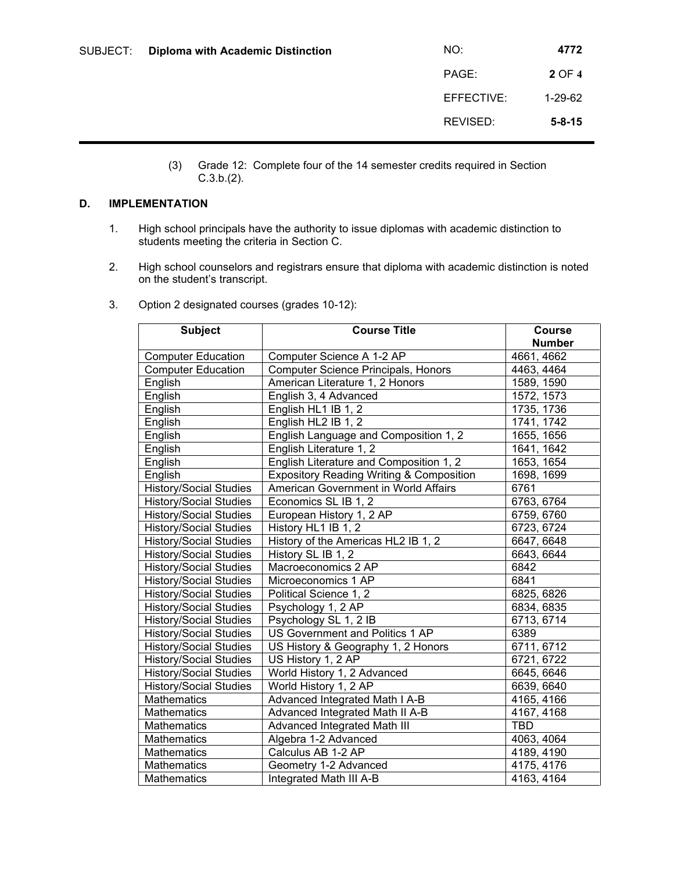| SUBJECT: | <b>Diploma with Academic Distinction</b> | NO:        | 4772          |
|----------|------------------------------------------|------------|---------------|
|          |                                          | PAGE:      | 2 OF 4        |
|          |                                          | EFFECTIVE: | $1 - 29 - 62$ |
|          |                                          | REVISED:   | $5 - 8 - 15$  |

(3) Grade 12: Complete four of the 14 semester credits required in Section C.3.b.(2).

## **D. IMPLEMENTATION**

- 1. High school principals have the authority to issue diplomas with academic distinction to students meeting the criteria in Section C.
- 2. High school counselors and registrars ensure that diploma with academic distinction is noted on the student's transcript.

| <b>Subject</b>                | <b>Course Title</b>                                 | <b>Course</b><br><b>Number</b> |
|-------------------------------|-----------------------------------------------------|--------------------------------|
| <b>Computer Education</b>     | Computer Science A 1-2 AP                           | 4661, 4662                     |
| <b>Computer Education</b>     | Computer Science Principals, Honors                 | 4463, 4464                     |
| English                       | American Literature 1, 2 Honors                     | 1589, 1590                     |
| English                       | English 3, 4 Advanced                               | 1572, 1573                     |
| English                       | English HL1 IB 1, 2                                 | 1735, 1736                     |
| English                       | English HL2 IB 1, 2                                 | 1741, 1742                     |
| English                       | English Language and Composition 1, 2               | 1655, 1656                     |
| English                       | English Literature 1, 2                             | 1641, 1642                     |
| English                       | English Literature and Composition 1, 2             | 1653, 1654                     |
| English                       | <b>Expository Reading Writing &amp; Composition</b> | 1698, 1699                     |
| <b>History/Social Studies</b> | American Government in World Affairs                | 6761                           |
| <b>History/Social Studies</b> | Economics SL IB 1, 2                                | 6763, 6764                     |
| <b>History/Social Studies</b> | European History 1, 2 AP                            | 6759, 6760                     |
| <b>History/Social Studies</b> | History HL1 IB 1, 2                                 | 6723, 6724                     |
| <b>History/Social Studies</b> | History of the Americas HL2 IB 1, 2                 | 6647, 6648                     |
| <b>History/Social Studies</b> | History SL IB 1, 2                                  | 6643, 6644                     |
| <b>History/Social Studies</b> | Macroeconomics 2 AP                                 | 6842                           |
| <b>History/Social Studies</b> | Microeconomics 1 AP                                 | 6841                           |
| <b>History/Social Studies</b> | Political Science 1, 2                              | 6825, 6826                     |
| <b>History/Social Studies</b> | Psychology 1, 2 AP                                  | 6834, 6835                     |
| <b>History/Social Studies</b> | Psychology SL 1, 2 IB                               | 6713, 6714                     |
| <b>History/Social Studies</b> | US Government and Politics 1 AP                     | 6389                           |
| <b>History/Social Studies</b> | US History & Geography 1, 2 Honors                  | 6711, 6712                     |
| <b>History/Social Studies</b> | US History 1, 2 AP                                  | 6721, 6722                     |
| <b>History/Social Studies</b> | World History 1, 2 Advanced                         | 6645, 6646                     |
| <b>History/Social Studies</b> | World History 1, 2 AP                               | 6639, 6640                     |
| <b>Mathematics</b>            | Advanced Integrated Math I A-B                      | 4165, 4166                     |
| <b>Mathematics</b>            | Advanced Integrated Math II A-B                     | 4167, 4168                     |
| Mathematics                   | Advanced Integrated Math III                        | <b>TBD</b>                     |
| Mathematics                   | Algebra 1-2 Advanced                                | 4063, 4064                     |
| <b>Mathematics</b>            | Calculus AB 1-2 AP                                  | 4189, 4190                     |
| <b>Mathematics</b>            | Geometry 1-2 Advanced                               | 4175, 4176                     |
| Mathematics                   | Integrated Math III A-B                             | 4163, 4164                     |

3. Option 2 designated courses (grades 10-12):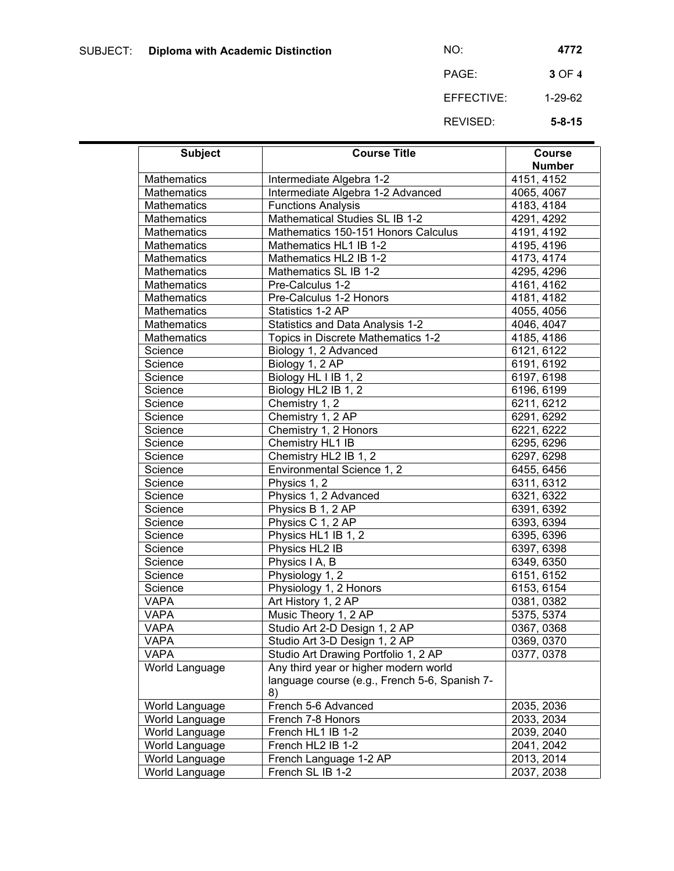PAGE: **3** OF **4** EFFECTIVE: 1-29-62

REVISED: **5-8-15**

| <b>Subject</b>     | <b>Course Title</b>                           | <b>Course</b> |
|--------------------|-----------------------------------------------|---------------|
|                    |                                               | <b>Number</b> |
| Mathematics        | Intermediate Algebra 1-2                      | 4151, 4152    |
| <b>Mathematics</b> | Intermediate Algebra 1-2 Advanced             | 4065, 4067    |
| <b>Mathematics</b> | <b>Functions Analysis</b>                     | 4183, 4184    |
| <b>Mathematics</b> | Mathematical Studies SL IB 1-2                | 4291, 4292    |
| <b>Mathematics</b> | Mathematics 150-151 Honors Calculus           | 4191, 4192    |
| <b>Mathematics</b> | Mathematics HL1 IB 1-2                        | 4195, 4196    |
| <b>Mathematics</b> | Mathematics HL2 IB 1-2                        | 4173, 4174    |
| <b>Mathematics</b> | Mathematics SL IB 1-2                         | 4295, 4296    |
| <b>Mathematics</b> | Pre-Calculus 1-2                              | 4161, 4162    |
| <b>Mathematics</b> | Pre-Calculus 1-2 Honors                       | 4181, 4182    |
| <b>Mathematics</b> | Statistics 1-2 AP                             | 4055, 4056    |
| <b>Mathematics</b> | Statistics and Data Analysis 1-2              | 4046, 4047    |
| <b>Mathematics</b> | Topics in Discrete Mathematics 1-2            | 4185, 4186    |
| Science            | Biology 1, 2 Advanced                         | 6121, 6122    |
| Science            | Biology 1, 2 AP                               | 6191, 6192    |
| Science            | Biology HL I IB 1, 2                          | 6197, 6198    |
| Science            | Biology HL2 IB 1, 2                           | 6196, 6199    |
| Science            | Chemistry 1, 2                                | 6211, 6212    |
| Science            | Chemistry 1, 2 AP                             | 6291, 6292    |
| Science            | Chemistry 1, 2 Honors                         | 6221, 6222    |
| Science            | Chemistry HL1 IB                              | 6295, 6296    |
| Science            | Chemistry HL2 IB 1, 2                         | 6297, 6298    |
| Science            | Environmental Science 1, 2                    | 6455, 6456    |
| Science            | Physics 1, 2                                  | 6311, 6312    |
| Science            | Physics 1, 2 Advanced                         | 6321, 6322    |
| Science            | Physics B 1, 2 AP                             | 6391, 6392    |
| Science            | Physics C 1, 2 AP                             | 6393, 6394    |
| Science            | Physics HL1 IB 1, 2                           | 6395, 6396    |
| Science            | Physics HL2 IB                                | 6397, 6398    |
| Science            | Physics I A, B                                | 6349, 6350    |
| Science            | Physiology 1, 2                               | 6151, 6152    |
| Science            | Physiology 1, 2 Honors                        | 6153, 6154    |
| <b>VAPA</b>        | Art History 1, 2 AP                           | 0381, 0382    |
| <b>VAPA</b>        | Music Theory 1, 2 AP                          | 5375, 5374    |
| <b>VAPA</b>        | Studio Art 2-D Design 1, 2 AP                 | 0367, 0368    |
| <b>VAPA</b>        | Studio Art 3-D Design 1, 2 AP                 | 0369, 0370    |
| <b>VAPA</b>        | Studio Art Drawing Portfolio 1, 2 AP          | 0377, 0378    |
| World Language     | Any third year or higher modern world         |               |
|                    | language course (e.g., French 5-6, Spanish 7- |               |
|                    | 8)                                            |               |
| World Language     | French 5-6 Advanced                           | 2035, 2036    |
| World Language     | French 7-8 Honors                             | 2033, 2034    |
| World Language     | French HL1 IB 1-2                             | 2039, 2040    |
| World Language     | French HL2 IB 1-2                             | 2041, 2042    |
| World Language     | French Language 1-2 AP                        | 2013, 2014    |
| World Language     | French SL IB 1-2                              | 2037, 2038    |